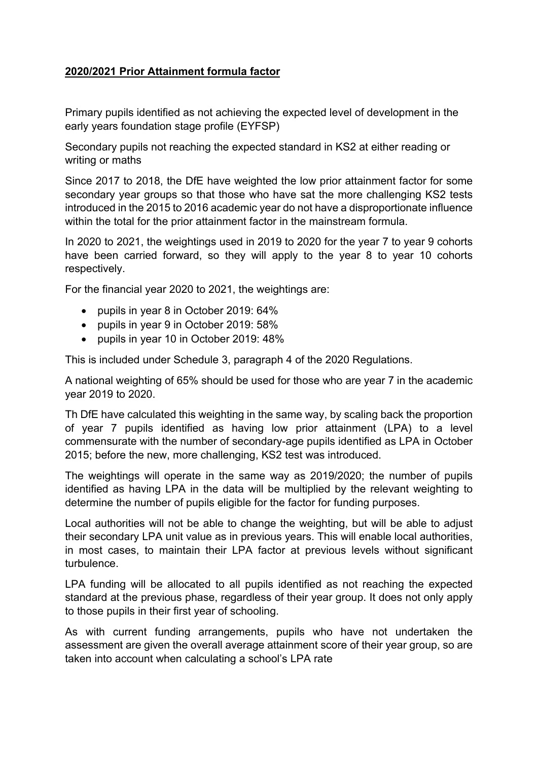## **2020/2021 Prior Attainment formula factor**

Primary pupils identified as not achieving the expected level of development in the early years foundation stage profile (EYFSP)

Secondary pupils not reaching the expected standard in KS2 at either reading or writing or maths

Since 2017 to 2018, the DfE have weighted the low prior attainment factor for some secondary year groups so that those who have sat the more challenging KS2 tests introduced in the 2015 to 2016 academic year do not have a disproportionate influence within the total for the prior attainment factor in the mainstream formula.

In 2020 to 2021, the weightings used in 2019 to 2020 for the year 7 to year 9 cohorts have been carried forward, so they will apply to the year 8 to year 10 cohorts respectively.

For the financial year 2020 to 2021, the weightings are:

- pupils in year 8 in October 2019: 64%
- pupils in year 9 in October 2019: 58%
- pupils in year 10 in October 2019: 48%

This is included under Schedule 3, paragraph 4 of the 2020 Regulations.

A national weighting of 65% should be used for those who are year 7 in the academic year 2019 to 2020.

Th DfE have calculated this weighting in the same way, by scaling back the proportion of year 7 pupils identified as having low prior attainment (LPA) to a level commensurate with the number of secondary-age pupils identified as LPA in October 2015; before the new, more challenging, KS2 test was introduced.

The weightings will operate in the same way as 2019/2020; the number of pupils identified as having LPA in the data will be multiplied by the relevant weighting to determine the number of pupils eligible for the factor for funding purposes.

Local authorities will not be able to change the weighting, but will be able to adjust their secondary LPA unit value as in previous years. This will enable local authorities, in most cases, to maintain their LPA factor at previous levels without significant turbulence.

LPA funding will be allocated to all pupils identified as not reaching the expected standard at the previous phase, regardless of their year group. It does not only apply to those pupils in their first year of schooling.

As with current funding arrangements, pupils who have not undertaken the assessment are given the overall average attainment score of their year group, so are taken into account when calculating a school's LPA rate